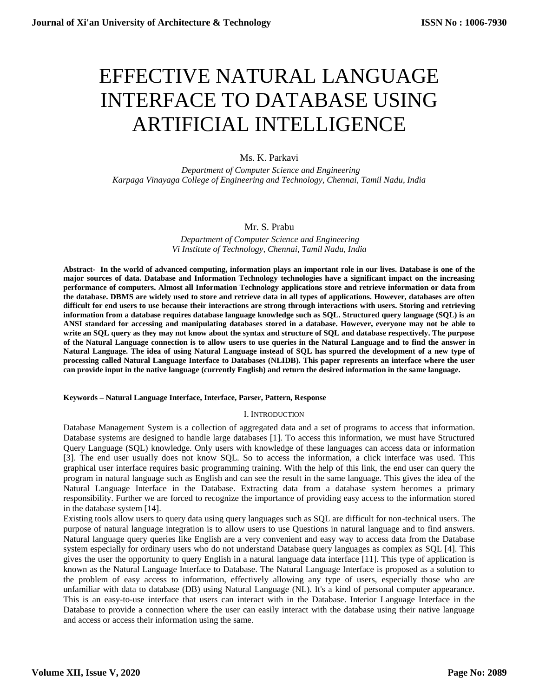# EFFECTIVE NATURAL LANGUAGE INTERFACE TO DATABASE USING ARTIFICIAL INTELLIGENCE

# Ms. K. Parkavi

 *Department of Computer Science and Engineering Karpaga Vinayaga College of Engineering and Technology, Chennai, Tamil Nadu, India*

# Mr. S. Prabu

*Department of Computer Science and Engineering Vi Institute of Technology, Chennai, Tamil Nadu, India*

**Abstract- In the world of advanced computing, information plays an important role in our lives. Database is one of the major sources of data. Database and Information Technology technologies have a significant impact on the increasing performance of computers. Almost all Information Technology applications store and retrieve information or data from the database. DBMS are widely used to store and retrieve data in all types of applications. However, databases are often difficult for end users to use because their interactions are strong through interactions with users. Storing and retrieving information from a database requires database language knowledge such as SQL. Structured query language (SQL) is an ANSI standard for accessing and manipulating databases stored in a database. However, everyone may not be able to write an SQL query as they may not know about the syntax and structure of SQL and database respectively. The purpose of the Natural Language connection is to allow users to use queries in the Natural Language and to find the answer in Natural Language. The idea of using Natural Language instead of SQL has spurred the development of a new type of processing called Natural Language Interface to Databases (NLIDB). This paper represents an interface where the user can provide input in the native language (currently English) and return the desired information in the same language.**

## **Keywords – Natural Language Interface, Interface, Parser, Pattern, Response**

## I. INTRODUCTION

Database Management System is a collection of aggregated data and a set of programs to access that information. Database systems are designed to handle large databases [1]. To access this information, we must have Structured Query Language (SQL) knowledge. Only users with knowledge of these languages can access data or information [3]. The end user usually does not know SQL. So to access the information, a click interface was used. This graphical user interface requires basic programming training. With the help of this link, the end user can query the program in natural language such as English and can see the result in the same language. This gives the idea of the Natural Language Interface in the Database. Extracting data from a database system becomes a primary responsibility. Further we are forced to recognize the importance of providing easy access to the information stored in the database system [14].

Existing tools allow users to query data using query languages such as SQL are difficult for non-technical users. The purpose of natural language integration is to allow users to use Questions in natural language and to find answers. Natural language query queries like English are a very convenient and easy way to access data from the Database system especially for ordinary users who do not understand Database query languages as complex as SQL [4]. This gives the user the opportunity to query English in a natural language data interface [11]. This type of application is known as the Natural Language Interface to Database. The Natural Language Interface is proposed as a solution to the problem of easy access to information, effectively allowing any type of users, especially those who are unfamiliar with data to database (DB) using Natural Language (NL). It's a kind of personal computer appearance. This is an easy-to-use interface that users can interact with in the Database. Interior Language Interface in the Database to provide a connection where the user can easily interact with the database using their native language and access or access their information using the same.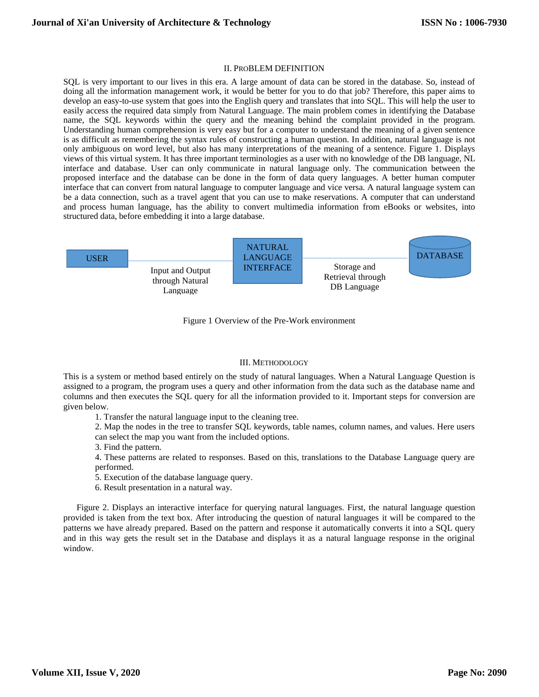# II. PROBLEM DEFINITION

SQL is very important to our lives in this era. A large amount of data can be stored in the database. So, instead of doing all the information management work, it would be better for you to do that job? Therefore, this paper aims to develop an easy-to-use system that goes into the English query and translates that into SQL. This will help the user to easily access the required data simply from Natural Language. The main problem comes in identifying the Database name, the SQL keywords within the query and the meaning behind the complaint provided in the program. Understanding human comprehension is very easy but for a computer to understand the meaning of a given sentence is as difficult as remembering the syntax rules of constructing a human question. In addition, natural language is not only ambiguous on word level, but also has many interpretations of the meaning of a sentence. Figure 1. Displays views of this virtual system. It has three important terminologies as a user with no knowledge of the DB language, NL interface and database. User can only communicate in natural language only. The communication between the proposed interface and the database can be done in the form of data query languages. A better human computer interface that can convert from natural language to computer language and vice versa. A natural language system can be a data connection, such as a travel agent that you can use to make reservations. A computer that can understand and process human language, has the ability to convert multimedia information from eBooks or websites, into structured data, before embedding it into a large database.



Figure 1 Overview of the Pre-Work environment

#### III. METHODOLOGY

This is a system or method based entirely on the study of natural languages. When a Natural Language Question is assigned to a program, the program uses a query and other information from the data such as the database name and columns and then executes the SQL query for all the information provided to it. Important steps for conversion are given below.

1. Transfer the natural language input to the cleaning tree.

2. Map the nodes in the tree to transfer SQL keywords, table names, column names, and values. Here users can select the map you want from the included options.

3. Find the pattern.

4. These patterns are related to responses. Based on this, translations to the Database Language query are performed.

- 5. Execution of the database language query.
- 6. Result presentation in a natural way.

Figure 2. Displays an interactive interface for querying natural languages. First, the natural language question provided is taken from the text box. After introducing the question of natural languages it will be compared to the patterns we have already prepared. Based on the pattern and response it automatically converts it into a SQL query and in this way gets the result set in the Database and displays it as a natural language response in the original window.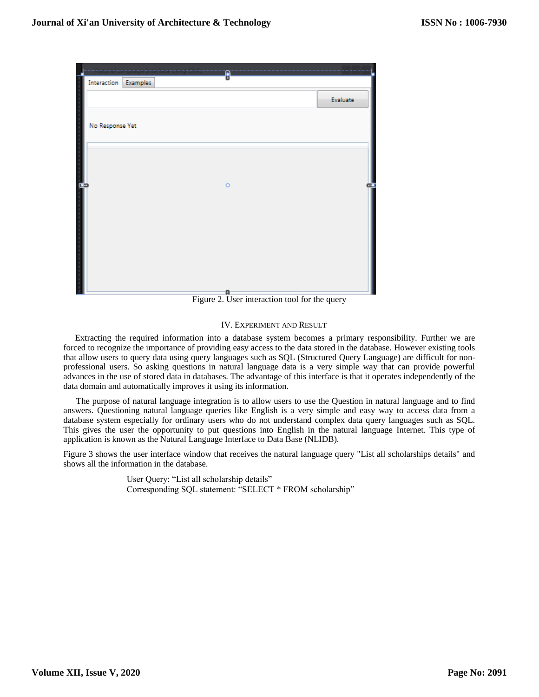

Figure 2. User interaction tool for the query

## IV. EXPERIMENT AND RESULT

Extracting the required information into a database system becomes a primary responsibility. Further we are forced to recognize the importance of providing easy access to the data stored in the database. However existing tools that allow users to query data using query languages such as SQL (Structured Query Language) are difficult for nonprofessional users. So asking questions in natural language data is a very simple way that can provide powerful advances in the use of stored data in databases. The advantage of this interface is that it operates independently of the data domain and automatically improves it using its information.

The purpose of natural language integration is to allow users to use the Question in natural language and to find answers. Questioning natural language queries like English is a very simple and easy way to access data from a database system especially for ordinary users who do not understand complex data query languages such as SQL. This gives the user the opportunity to put questions into English in the natural language Internet. This type of application is known as the Natural Language Interface to Data Base (NLIDB).

Figure 3 shows the user interface window that receives the natural language query "List all scholarships details" and shows all the information in the database.

> User Query: "List all scholarship details" Corresponding SQL statement: "SELECT \* FROM scholarship"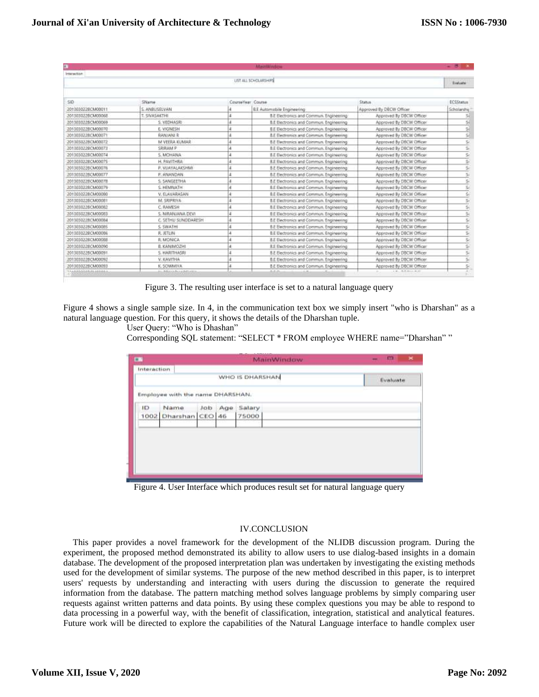| œ<br>MainWindow       |                     |   |                                                |                              |                         |  |  |  |
|-----------------------|---------------------|---|------------------------------------------------|------------------------------|-------------------------|--|--|--|
| <b>Interaction</b>    |                     |   |                                                |                              |                         |  |  |  |
| LIST ALL SCHOLARSHIPS |                     |   |                                                |                              |                         |  |  |  |
|                       |                     |   |                                                |                              |                         |  |  |  |
| SID.                  | SName               |   | <b>CourseYear Course</b>                       | Status                       | <b>ECSStatus</b>        |  |  |  |
| 2013030228CM00011     | S. ANBUSELVAN       |   | B.E Automobile Engineering                     | Approved By DBCW Officer     | Scholarship             |  |  |  |
| 2013030229CM00068     | T. SWASAKTHI        | A | B.E Electronics and Commun. Engineering        | Approved by DBCW Officer     | 58                      |  |  |  |
| 2013030228CM00069     | S. VEDHASRI         | 4 | B.E Bectronics and Commun. Engineering         | Approved By DBCW Officer     | 5í                      |  |  |  |
| 2013030228CM00070     | E. VIGNESH          |   | B.E Becorprics and Commun. Engineering         | Approved By DBCW Officer     | 3                       |  |  |  |
| 201303022BCM00071     | <b>RANJANI R</b>    |   | B.E Electronics and Commun. Engineering        | Approved By DBCW Officer     | 詞                       |  |  |  |
| 201303022BCM00072     | M VEERA KUMAR       |   | B.E Electronics and Commun. Engineering        | Approved by DBCW Officer     | \$í                     |  |  |  |
| 2013030229CM00073     | SRIBAM P            |   | <b>B.E Electronics and Commun. Engineering</b> | Approved By DBCW Officer     | S,                      |  |  |  |
| 2013030228CM00074     | S. MOHANA           |   | B.E Electronics and Commun. Engineering        | Approved By DBCW Officer     | Sć                      |  |  |  |
| 2013030228CM0007S     | H. PAVITHRA         |   | B.E Bectionics and Commun. Engineering         | Approved By DBCW Officer     |                         |  |  |  |
| 201303022BCM00076     | P. VUAYALAKSHMI     |   | <b>B.E Electronics and Commun. Engineering</b> | Approved by DBCW Officer     | yn lan                  |  |  |  |
| 2013030228CM00077     | P. ANANDAN          |   | 8.E Electronics and Commun. Engineering        | Approved by DBCW Officer     |                         |  |  |  |
| 201303022BCM0007B     | S. SANGEETHA        | d | 8.E Electronics and Commun. Engineering        | Approved By OBCW Officer     | <b>And And And</b>      |  |  |  |
| 201303022BCM00079     | S. HEMNATH          |   | B.E Electronics and Commun. Engineering        | Approved By DBCW Officer     |                         |  |  |  |
| 201303022BCM000B0     | V. ELAVARASAN       |   | B.E Electronics and Commun. Engineering        | Approved By DBCW Officer     | un lign.                |  |  |  |
| 2013030229CM00081     | M. SRIPRIVA         |   | <b>B.E Electronics and Commun. Engineering</b> | Approved By DBCW Officer     |                         |  |  |  |
| 2013030228CM00082     | C. RAMESH           |   | B.E Electronics and Commun. Engineering        | Approved By DBCW Officer     | 5(                      |  |  |  |
| 201303022BCM00083     | S. NIRANJANA DEVI   |   | <b>B.E Electronics and Commun. Engineering</b> | Approved By DBCW Officer     |                         |  |  |  |
| 201303022BCM00084     | C. SETHU SUNDDARESH | 4 | B.E Electronics and Commun. Engineering        | Approved By DBCW Officer     | 实见                      |  |  |  |
| 2013030228CM000BS     | S: SWATH            |   | B.E Bectronics and Commun, Engineering         | Approved by DBCW Officer     | $\overline{\mathbb{R}}$ |  |  |  |
| 201303022BCM00066     | F. JETLIN           |   | B.E Electronics and Commun. Engineering        | Approved By DBCW Officer     | ší,                     |  |  |  |
| 201303022BCM00088     | R: MONICA           |   | B.E Electronics and Commun. Engineering        | Approved By DBCW Officer     | s,                      |  |  |  |
| 201303022BCM00090     | <b>B. KANIMOZHI</b> | 4 | B.E Bectronics and Commun. Engineering         | Approved By DBCW Officer     | i va lay l              |  |  |  |
| 2013030228CM00091     | 5. HARITHASRI       |   | <b>B.E Electronics and Commun. Engineering</b> | Approved by DBCW Officer     |                         |  |  |  |
| 2013030228CM00092     | V. KAVITHA          |   | B.E Electronics and Commun. Engineering        | Approved By DBCW Officer     | S.                      |  |  |  |
| 2013030229CM00093     | K. SOWMIYA          |   | B.E Electronics and Commun. Engineering        | Approved By DBCW Officer     | $\overline{5}$          |  |  |  |
| 1168888888888888      | おいきさいいたいいちだいだい      |   | 12.75                                          | 2. W. . 24. W. Mich. 20, 197 |                         |  |  |  |

Figure 3. The resulting user interface is set to a natural language query

Figure 4 shows a single sample size. In 4, in the communication text box we simply insert "who is Dharshan" as a natural language question. For this query, it shows the details of the Dharshan tuple.

User Query: "Who is Dhashan"

Corresponding SQL statement: "SELECT \* FROM employee WHERE name="Dharshan" "

| EN          |                                  | and an extent of the following state of the<br><b>MainWindow</b> |  | $\pmb{\times}$          |  |          |
|-------------|----------------------------------|------------------------------------------------------------------|--|-------------------------|--|----------|
| Interaction |                                  | WHO IS DHARSHAN                                                  |  |                         |  | Evaluate |
|             | Employee with the name DHARSHAN. |                                                                  |  |                         |  |          |
| ID.<br>1002 | Name<br>Dharshan CEO 46          |                                                                  |  | Job Age Salary<br>75000 |  |          |
|             |                                  |                                                                  |  |                         |  |          |
|             |                                  |                                                                  |  |                         |  |          |
|             |                                  |                                                                  |  |                         |  |          |
|             |                                  |                                                                  |  |                         |  |          |

Figure 4. User Interface which produces result set for natural language query

# IV.CONCLUSION

This paper provides a novel framework for the development of the NLIDB discussion program. During the experiment, the proposed method demonstrated its ability to allow users to use dialog-based insights in a domain database. The development of the proposed interpretation plan was undertaken by investigating the existing methods used for the development of similar systems. The purpose of the new method described in this paper, is to interpret users' requests by understanding and interacting with users during the discussion to generate the required information from the database. The pattern matching method solves language problems by simply comparing user requests against written patterns and data points. By using these complex questions you may be able to respond to data processing in a powerful way, with the benefit of classification, integration, statistical and analytical features. Future work will be directed to explore the capabilities of the Natural Language interface to handle complex user